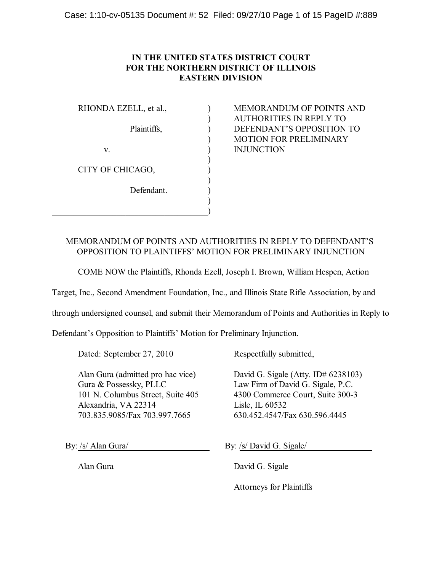# **IN THE UNITED STATES DISTRICT COURT FOR THE NORTHERN DISTRICT OF ILLINOIS EASTERN DIVISION**

| RHONDA EZELL, et al., |  |
|-----------------------|--|
| Plaintiffs,           |  |
| V.                    |  |
| CITY OF CHICAGO,      |  |
| Defendant.            |  |
|                       |  |

ReMORANDUM OF POINTS AND ) AUTHORITIES IN REPLY TO ) DEFENDANT'S OPPOSITION TO ) MOTION FOR PRELIMINARY INJUNCTION

# MEMORANDUM OF POINTS AND AUTHORITIES IN REPLY TO DEFENDANT'S OPPOSITION TO PLAINTIFFS' MOTION FOR PRELIMINARY INJUNCTION

COME NOW the Plaintiffs, Rhonda Ezell, Joseph I. Brown, William Hespen, Action

Target, Inc., Second Amendment Foundation, Inc., and Illinois State Rifle Association, by and

through undersigned counsel, and submit their Memorandum of Points and Authorities in Reply to

Defendant's Opposition to Plaintiffs' Motion for Preliminary Injunction.

Dated: September 27, 2010 Respectfully submitted,

Gura & Possessky, PLLC Law Firm of David G. Sigale, P.C. Alexandria, VA 22314 Lisle, IL 60532 703.835.9085/Fax 703.997.7665 630.452.4547/Fax 630.596.4445

Alan Gura (admitted pro hac vice) David G. Sigale (Atty. ID# 6238103) 101 N. Columbus Street, Suite 405 4300 Commerce Court, Suite 300-3

By: /s/ Alan Gura/ By: /s/ David G. Sigale/

Alan Gura David G. Sigale

Attorneys for Plaintiffs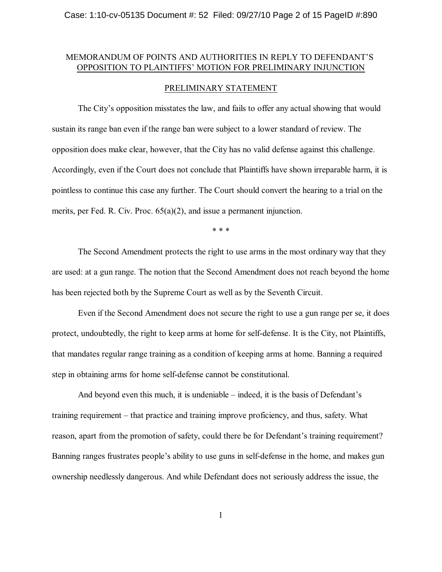## MEMORANDUM OF POINTS AND AUTHORITIES IN REPLY TO DEFENDANT'S OPPOSITION TO PLAINTIFFS' MOTION FOR PRELIMINARY INJUNCTION

### PRELIMINARY STATEMENT

The City's opposition misstates the law, and fails to offer any actual showing that would sustain its range ban even if the range ban were subject to a lower standard of review. The opposition does make clear, however, that the City has no valid defense against this challenge. Accordingly, even if the Court does not conclude that Plaintiffs have shown irreparable harm, it is pointless to continue this case any further. The Court should convert the hearing to a trial on the merits, per Fed. R. Civ. Proc. 65(a)(2), and issue a permanent injunction.

\* \* \*

The Second Amendment protects the right to use arms in the most ordinary way that they are used: at a gun range. The notion that the Second Amendment does not reach beyond the home has been rejected both by the Supreme Court as well as by the Seventh Circuit.

Even if the Second Amendment does not secure the right to use a gun range per se, it does protect, undoubtedly, the right to keep arms at home for self-defense. It is the City, not Plaintiffs, that mandates regular range training as a condition of keeping arms at home. Banning a required step in obtaining arms for home self-defense cannot be constitutional.

And beyond even this much, it is undeniable – indeed, it is the basis of Defendant's training requirement – that practice and training improve proficiency, and thus, safety. What reason, apart from the promotion of safety, could there be for Defendant's training requirement? Banning ranges frustrates people's ability to use guns in self-defense in the home, and makes gun ownership needlessly dangerous. And while Defendant does not seriously address the issue, the

1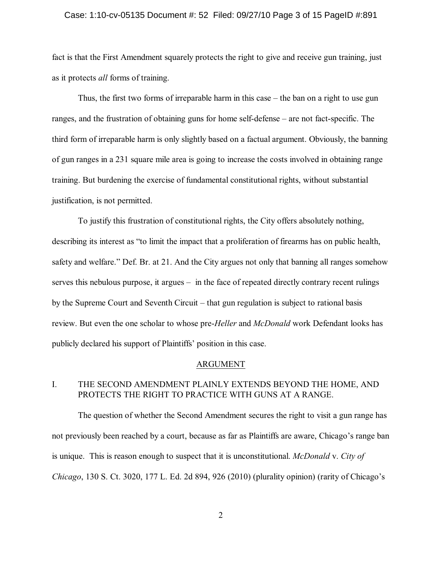### Case: 1:10-cv-05135 Document #: 52 Filed: 09/27/10 Page 3 of 15 PageID #:891

fact is that the First Amendment squarely protects the right to give and receive gun training, just as it protects *all* forms of training.

Thus, the first two forms of irreparable harm in this case – the ban on a right to use gun ranges, and the frustration of obtaining guns for home self-defense – are not fact-specific. The third form of irreparable harm is only slightly based on a factual argument. Obviously, the banning of gun ranges in a 231 square mile area is going to increase the costs involved in obtaining range training. But burdening the exercise of fundamental constitutional rights, without substantial justification, is not permitted.

To justify this frustration of constitutional rights, the City offers absolutely nothing, describing its interest as "to limit the impact that a proliferation of firearms has on public health, safety and welfare." Def. Br. at 21. And the City argues not only that banning all ranges somehow serves this nebulous purpose, it argues – in the face of repeated directly contrary recent rulings by the Supreme Court and Seventh Circuit – that gun regulation is subject to rational basis review. But even the one scholar to whose pre-*Heller* and *McDonald* work Defendant looks has publicly declared his support of Plaintiffs' position in this case.

### ARGUMENT

## I. THE SECOND AMENDMENT PLAINLY EXTENDS BEYOND THE HOME, AND PROTECTS THE RIGHT TO PRACTICE WITH GUNS AT A RANGE.

The question of whether the Second Amendment secures the right to visit a gun range has not previously been reached by a court, because as far as Plaintiffs are aware, Chicago's range ban is unique. This is reason enough to suspect that it is unconstitutional. *McDonald* v. *City of Chicago*, 130 S. Ct. 3020, 177 L. Ed. 2d 894, 926 (2010) (plurality opinion) (rarity of Chicago's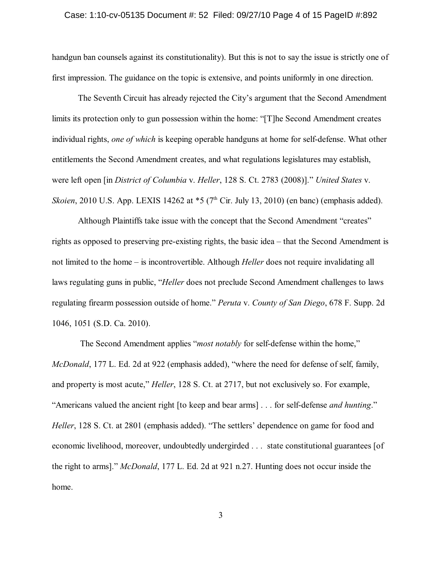### Case: 1:10-cv-05135 Document #: 52 Filed: 09/27/10 Page 4 of 15 PageID #:892

handgun ban counsels against its constitutionality). But this is not to say the issue is strictly one of first impression. The guidance on the topic is extensive, and points uniformly in one direction.

The Seventh Circuit has already rejected the City's argument that the Second Amendment limits its protection only to gun possession within the home: "[T]he Second Amendment creates individual rights, *one of which* is keeping operable handguns at home for self-defense. What other entitlements the Second Amendment creates, and what regulations legislatures may establish, were left open [in *District of Columbia* v. *Heller*, 128 S. Ct. 2783 (2008)]." *United States* v. *Skoien*, 2010 U.S. App. LEXIS 14262 at  $*5$  (7<sup>th</sup> Cir. July 13, 2010) (en banc) (emphasis added).

Although Plaintiffs take issue with the concept that the Second Amendment "creates" rights as opposed to preserving pre-existing rights, the basic idea – that the Second Amendment is not limited to the home – is incontrovertible. Although *Heller* does not require invalidating all laws regulating guns in public, "*Heller* does not preclude Second Amendment challenges to laws regulating firearm possession outside of home." *Peruta* v. *County of San Diego*, 678 F. Supp. 2d 1046, 1051 (S.D. Ca. 2010).

The Second Amendment applies "*most notably* for self-defense within the home," *McDonald*, 177 L. Ed. 2d at 922 (emphasis added), "where the need for defense of self, family, and property is most acute," *Heller*, 128 S. Ct. at 2717, but not exclusively so. For example, "Americans valued the ancient right [to keep and bear arms] . . . for self-defense *and hunting*." *Heller*, 128 S. Ct. at 2801 (emphasis added). "The settlers' dependence on game for food and economic livelihood, moreover, undoubtedly undergirded . . . state constitutional guarantees [of the right to arms]." *McDonald*, 177 L. Ed. 2d at 921 n.27. Hunting does not occur inside the home.

3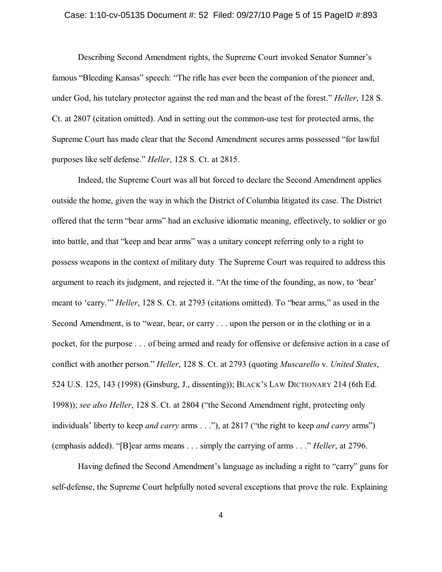### Case: 1:10-cv-05135 Document #: 52 Filed: 09/27/10 Page 5 of 15 PageID #:893

Describing Second Amendment rights, the Supreme Court invoked Senator Sumner's famous "Bleeding Kansas" speech: "The rifle has ever been the companion of the pioneer and, under God, his tutelary protector against the red man and the beast of the forest." *Heller*, 128 S. Ct. at 2807 (citation omitted). And in setting out the common-use test for protected arms, the Supreme Court has made clear that the Second Amendment secures arms possessed "for lawful purposes like self defense." *Heller*, 128 S. Ct. at 2815.

Indeed, the Supreme Court was all but forced to declare the Second Amendment applies outside the home, given the way in which the District of Columbia litigated its case. The District offered that the term "bear arms" had an exclusive idiomatic meaning, effectively, to soldier or go into battle, and that "keep and bear arms" was a unitary concept referring only to a right to possess weapons in the context of military duty The Supreme Court was required to address this argument to reach its judgment, and rejected it. "At the time of the founding, as now, to 'bear' meant to 'carry.'" *Heller*, 128 S. Ct. at 2793 (citations omitted). To "bear arms," as used in the Second Amendment, is to "wear, bear, or carry . . . upon the person or in the clothing or in a pocket, for the purpose . . . of being armed and ready for offensive or defensive action in a case of conflict with another person." *Heller*, 128 S. Ct. at 2793 (quoting *Muscarello* v. *United States*, 524 U.S. 125, 143 (1998) (Ginsburg, J., dissenting)); BLACK'S LAW DICTIONARY 214 (6th Ed. 1998)); *see also Heller*, 128 S. Ct. at 2804 ("the Second Amendment right, protecting only individuals' liberty to keep *and carry* arms . . ."), at 2817 ("the right to keep *and carry* arms") (emphasis added). "[B]ear arms means . . . simply the carrying of arms . . ." *Heller*, at 2796.

Having defined the Second Amendment's language as including a right to "carry" guns for self-defense, the Supreme Court helpfully noted several exceptions that prove the rule. Explaining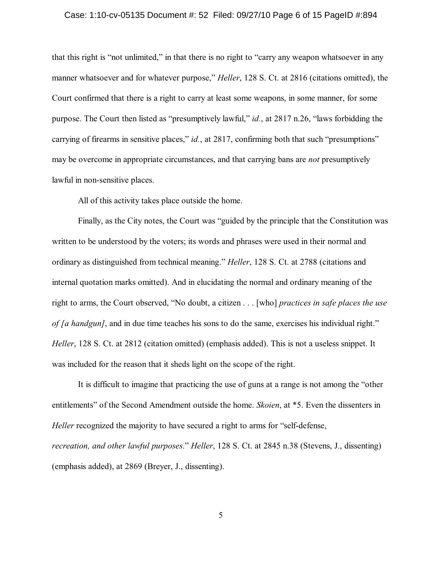### Case: 1:10-cv-05135 Document #: 52 Filed: 09/27/10 Page 6 of 15 PageID #:894

that this right is "not unlimited," in that there is no right to "carry any weapon whatsoever in any manner whatsoever and for whatever purpose," *Heller*, 128 S. Ct. at 2816 (citations omitted), the Court confirmed that there is a right to carry at least some weapons, in some manner, for some purpose. The Court then listed as "presumptively lawful," *id.*, at 2817 n.26, "laws forbidding the carrying of firearms in sensitive places," *id.*, at 2817, confirming both that such "presumptions" may be overcome in appropriate circumstances, and that carrying bans are *not* presumptively lawful in non-sensitive places.

All of this activity takes place outside the home.

Finally, as the City notes, the Court was "guided by the principle that the Constitution was written to be understood by the voters; its words and phrases were used in their normal and ordinary as distinguished from technical meaning." *Heller*, 128 S. Ct. at 2788 (citations and internal quotation marks omitted). And in elucidating the normal and ordinary meaning of the right to arms, the Court observed, "No doubt, a citizen . . . [who] *practices in safe places the use of [a handgun]*, and in due time teaches his sons to do the same, exercises his individual right." *Heller*, 128 S. Ct. at 2812 (citation omitted) (emphasis added). This is not a useless snippet. It was included for the reason that it sheds light on the scope of the right.

It is difficult to imagine that practicing the use of guns at a range is not among the "other entitlements" of the Second Amendment outside the home. *Skoien*, at \*5. Even the dissenters in *Heller* recognized the majority to have secured a right to arms for "self-defense, *recreation, and other lawful purposes*." *Heller*, 128 S. Ct. at 2845 n.38 (Stevens, J., dissenting) (emphasis added), at 2869 (Breyer, J., dissenting).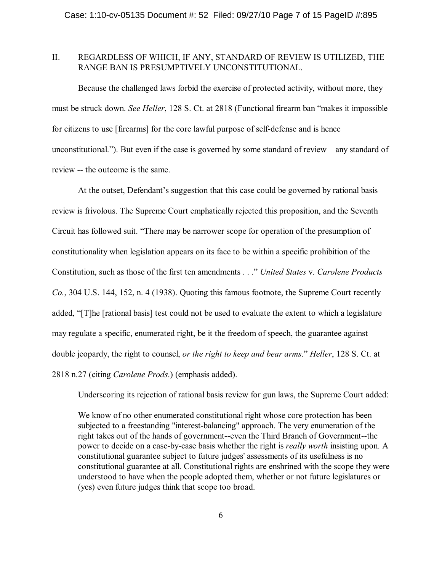## II. REGARDLESS OF WHICH, IF ANY, STANDARD OF REVIEW IS UTILIZED, THE RANGE BAN IS PRESUMPTIVELY UNCONSTITUTIONAL.

Because the challenged laws forbid the exercise of protected activity, without more, they must be struck down. *See Heller*, 128 S. Ct. at 2818 (Functional firearm ban "makes it impossible for citizens to use [firearms] for the core lawful purpose of self-defense and is hence unconstitutional."). But even if the case is governed by some standard of review – any standard of review -- the outcome is the same.

At the outset, Defendant's suggestion that this case could be governed by rational basis review is frivolous. The Supreme Court emphatically rejected this proposition, and the Seventh Circuit has followed suit. "There may be narrower scope for operation of the presumption of constitutionality when legislation appears on its face to be within a specific prohibition of the Constitution, such as those of the first ten amendments . . ." *United States* v. *Carolene Products Co.*, 304 U.S. 144, 152, n. 4 (1938). Quoting this famous footnote, the Supreme Court recently added, "[T]he [rational basis] test could not be used to evaluate the extent to which a legislature may regulate a specific, enumerated right, be it the freedom of speech, the guarantee against double jeopardy, the right to counsel, *or the right to keep and bear arms*." *Heller*, 128 S. Ct. at 2818 n.27 (citing *Carolene Prods*.) (emphasis added).

Underscoring its rejection of rational basis review for gun laws, the Supreme Court added:

We know of no other enumerated constitutional right whose core protection has been subjected to a freestanding "interest-balancing" approach. The very enumeration of the right takes out of the hands of government--even the Third Branch of Government--the power to decide on a case-by-case basis whether the right is *really worth* insisting upon. A constitutional guarantee subject to future judges' assessments of its usefulness is no constitutional guarantee at all. Constitutional rights are enshrined with the scope they were understood to have when the people adopted them, whether or not future legislatures or (yes) even future judges think that scope too broad.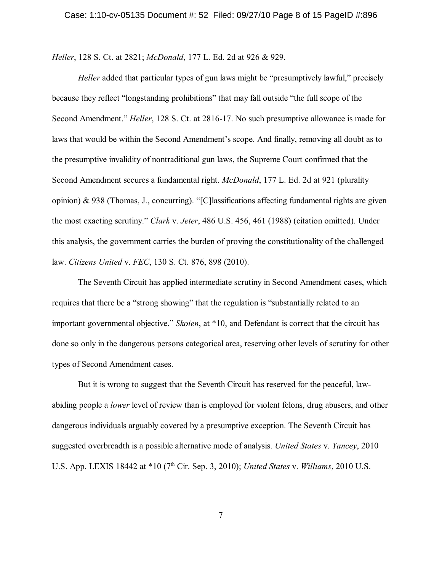*Heller*, 128 S. Ct. at 2821; *McDonald*, 177 L. Ed. 2d at 926 & 929.

*Heller* added that particular types of gun laws might be "presumptively lawful," precisely because they reflect "longstanding prohibitions" that may fall outside "the full scope of the Second Amendment." *Heller*, 128 S. Ct. at 2816-17. No such presumptive allowance is made for laws that would be within the Second Amendment's scope. And finally, removing all doubt as to the presumptive invalidity of nontraditional gun laws, the Supreme Court confirmed that the Second Amendment secures a fundamental right. *McDonald*, 177 L. Ed. 2d at 921 (plurality opinion) & 938 (Thomas, J., concurring). "[C]lassifications affecting fundamental rights are given the most exacting scrutiny." *Clark* v. *Jeter*, 486 U.S. 456, 461 (1988) (citation omitted). Under this analysis, the government carries the burden of proving the constitutionality of the challenged law. *Citizens United* v. *FEC*, 130 S. Ct. 876, 898 (2010).

The Seventh Circuit has applied intermediate scrutiny in Second Amendment cases, which requires that there be a "strong showing" that the regulation is "substantially related to an important governmental objective." *Skoien*, at \*10, and Defendant is correct that the circuit has done so only in the dangerous persons categorical area, reserving other levels of scrutiny for other types of Second Amendment cases.

But it is wrong to suggest that the Seventh Circuit has reserved for the peaceful, lawabiding people a *lower* level of review than is employed for violent felons, drug abusers, and other dangerous individuals arguably covered by a presumptive exception. The Seventh Circuit has suggested overbreadth is a possible alternative mode of analysis. *United States* v. *Yancey*, 2010 U.S. App. LEXIS 18442 at \*10 (7<sup>th</sup> Cir. Sep. 3, 2010); *United States v. Williams*, 2010 U.S.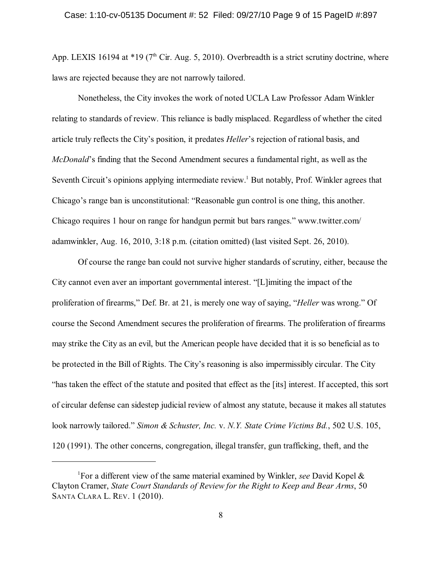App. LEXIS 16194 at  $*19$  (7<sup>th</sup> Cir. Aug. 5, 2010). Overbreadth is a strict scrutiny doctrine, where laws are rejected because they are not narrowly tailored.

Nonetheless, the City invokes the work of noted UCLA Law Professor Adam Winkler relating to standards of review. This reliance is badly misplaced. Regardless of whether the cited article truly reflects the City's position, it predates *Heller*'s rejection of rational basis, and *McDonald*'s finding that the Second Amendment secures a fundamental right, as well as the Seventh Circuit's opinions applying intermediate review.<sup>1</sup> But notably, Prof. Winkler agrees that Chicago's range ban is unconstitutional: "Reasonable gun control is one thing, this another. Chicago requires 1 hour on range for handgun permit but bars ranges." www.twitter.com/ adamwinkler, Aug. 16, 2010, 3:18 p.m. (citation omitted) (last visited Sept. 26, 2010).

Of course the range ban could not survive higher standards of scrutiny, either, because the City cannot even aver an important governmental interest. "[L]imiting the impact of the proliferation of firearms," Def. Br. at 21, is merely one way of saying, "*Heller* was wrong." Of course the Second Amendment secures the proliferation of firearms. The proliferation of firearms may strike the City as an evil, but the American people have decided that it is so beneficial as to be protected in the Bill of Rights. The City's reasoning is also impermissibly circular. The City "has taken the effect of the statute and posited that effect as the [its] interest. If accepted, this sort of circular defense can sidestep judicial review of almost any statute, because it makes all statutes look narrowly tailored." *Simon & Schuster, Inc.* v. *N.Y. State Crime Victims Bd.*, 502 U.S. 105, 120 (1991). The other concerns, congregation, illegal transfer, gun trafficking, theft, and the

For a different view of the same material examined by Winkler, *see* David Kopel & 1 Clayton Cramer, *State Court Standards of Review for the Right to Keep and Bear Arms*, 50 SANTA CLARA L. REV. 1 (2010).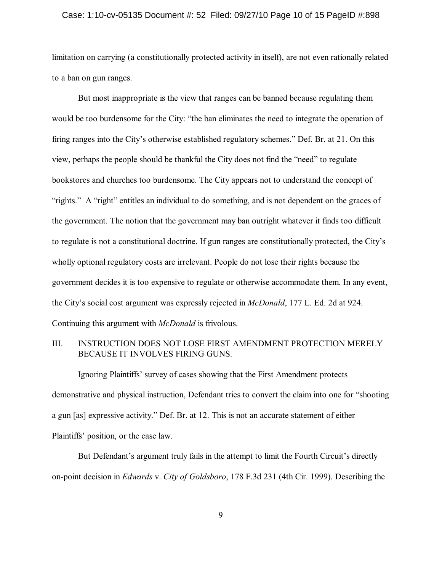#### Case: 1:10-cv-05135 Document #: 52 Filed: 09/27/10 Page 10 of 15 PageID #:898

limitation on carrying (a constitutionally protected activity in itself), are not even rationally related to a ban on gun ranges.

But most inappropriate is the view that ranges can be banned because regulating them would be too burdensome for the City: "the ban eliminates the need to integrate the operation of firing ranges into the City's otherwise established regulatory schemes." Def. Br. at 21. On this view, perhaps the people should be thankful the City does not find the "need" to regulate bookstores and churches too burdensome. The City appears not to understand the concept of "rights." A "right" entitles an individual to do something, and is not dependent on the graces of the government. The notion that the government may ban outright whatever it finds too difficult to regulate is not a constitutional doctrine. If gun ranges are constitutionally protected, the City's wholly optional regulatory costs are irrelevant. People do not lose their rights because the government decides it is too expensive to regulate or otherwise accommodate them. In any event, the City's social cost argument was expressly rejected in *McDonald*, 177 L. Ed. 2d at 924. Continuing this argument with *McDonald* is frivolous.

## III. INSTRUCTION DOES NOT LOSE FIRST AMENDMENT PROTECTION MERELY BECAUSE IT INVOLVES FIRING GUNS.

Ignoring Plaintiffs' survey of cases showing that the First Amendment protects demonstrative and physical instruction, Defendant tries to convert the claim into one for "shooting a gun [as] expressive activity." Def. Br. at 12. This is not an accurate statement of either Plaintiffs' position, or the case law.

But Defendant's argument truly fails in the attempt to limit the Fourth Circuit's directly on-point decision in *Edwards* v. *City of Goldsboro*, 178 F.3d 231 (4th Cir. 1999). Describing the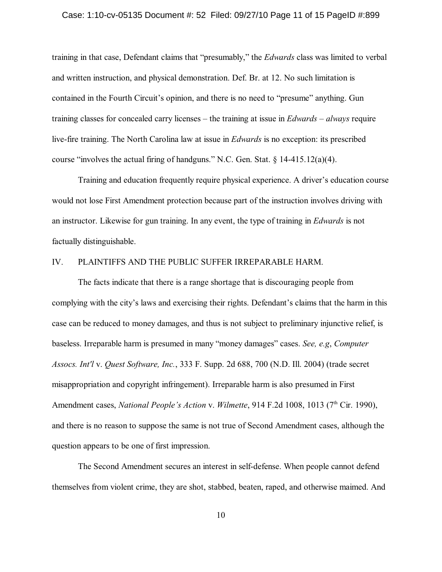#### Case: 1:10-cv-05135 Document #: 52 Filed: 09/27/10 Page 11 of 15 PageID #:899

training in that case, Defendant claims that "presumably," the *Edwards* class was limited to verbal and written instruction, and physical demonstration. Def. Br. at 12. No such limitation is contained in the Fourth Circuit's opinion, and there is no need to "presume" anything. Gun training classes for concealed carry licenses – the training at issue in *Edwards* – *always* require live-fire training. The North Carolina law at issue in *Edwards* is no exception: its prescribed course "involves the actual firing of handguns." N.C. Gen. Stat. § 14-415.12(a)(4).

Training and education frequently require physical experience. A driver's education course would not lose First Amendment protection because part of the instruction involves driving with an instructor. Likewise for gun training. In any event, the type of training in *Edwards* is not factually distinguishable.

## IV. PLAINTIFFS AND THE PUBLIC SUFFER IRREPARABLE HARM.

The facts indicate that there is a range shortage that is discouraging people from complying with the city's laws and exercising their rights. Defendant's claims that the harm in this case can be reduced to money damages, and thus is not subject to preliminary injunctive relief, is baseless. Irreparable harm is presumed in many "money damages" cases. *See, e.g*, *Computer Assocs. Int'l* v. *Quest Software, Inc.*, 333 F. Supp. 2d 688, 700 (N.D. Ill. 2004) (trade secret misappropriation and copyright infringement). Irreparable harm is also presumed in First Amendment cases, *National People's Action v. Wilmette*, 914 F.2d 1008, 1013 (7<sup>th</sup> Cir. 1990), and there is no reason to suppose the same is not true of Second Amendment cases, although the question appears to be one of first impression.

The Second Amendment secures an interest in self-defense. When people cannot defend themselves from violent crime, they are shot, stabbed, beaten, raped, and otherwise maimed. And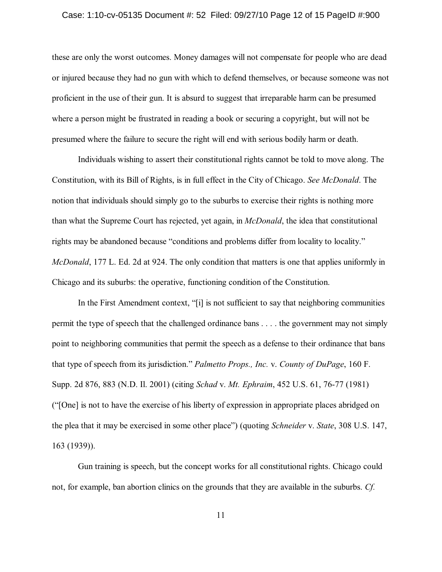#### Case: 1:10-cv-05135 Document #: 52 Filed: 09/27/10 Page 12 of 15 PageID #:900

these are only the worst outcomes. Money damages will not compensate for people who are dead or injured because they had no gun with which to defend themselves, or because someone was not proficient in the use of their gun. It is absurd to suggest that irreparable harm can be presumed where a person might be frustrated in reading a book or securing a copyright, but will not be presumed where the failure to secure the right will end with serious bodily harm or death.

Individuals wishing to assert their constitutional rights cannot be told to move along. The Constitution, with its Bill of Rights, is in full effect in the City of Chicago. *See McDonald*. The notion that individuals should simply go to the suburbs to exercise their rights is nothing more than what the Supreme Court has rejected, yet again, in *McDonald*, the idea that constitutional rights may be abandoned because "conditions and problems differ from locality to locality." *McDonald*, 177 L. Ed. 2d at 924. The only condition that matters is one that applies uniformly in Chicago and its suburbs: the operative, functioning condition of the Constitution.

In the First Amendment context, "[i] is not sufficient to say that neighboring communities permit the type of speech that the challenged ordinance bans . . . . the government may not simply point to neighboring communities that permit the speech as a defense to their ordinance that bans that type of speech from its jurisdiction." *Palmetto Props., Inc.* v. *County of DuPage*, 160 F. Supp. 2d 876, 883 (N.D. Il. 2001) (citing *Schad* v. *Mt. Ephraim*, 452 U.S. 61, 76-77 (1981) ("[One] is not to have the exercise of his liberty of expression in appropriate places abridged on the plea that it may be exercised in some other place") (quoting *Schneider* v. *State*, 308 U.S. 147, 163 (1939)).

Gun training is speech, but the concept works for all constitutional rights. Chicago could not, for example, ban abortion clinics on the grounds that they are available in the suburbs. *Cf.*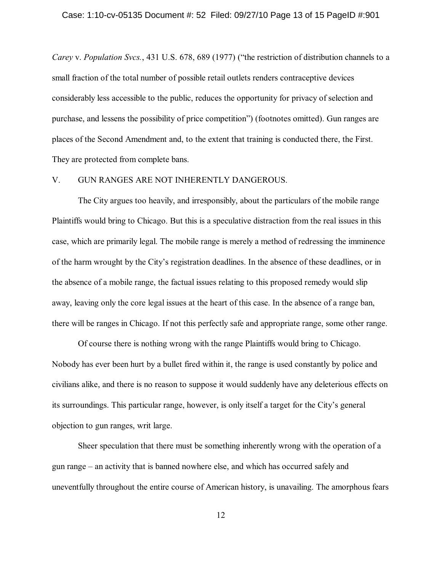#### Case: 1:10-cv-05135 Document #: 52 Filed: 09/27/10 Page 13 of 15 PageID #:901

*Carey* v. *Population Svcs.*, 431 U.S. 678, 689 (1977) ("the restriction of distribution channels to a small fraction of the total number of possible retail outlets renders contraceptive devices considerably less accessible to the public, reduces the opportunity for privacy of selection and purchase, and lessens the possibility of price competition") (footnotes omitted). Gun ranges are places of the Second Amendment and, to the extent that training is conducted there, the First. They are protected from complete bans.

### V. GUN RANGES ARE NOT INHERENTLY DANGEROUS.

The City argues too heavily, and irresponsibly, about the particulars of the mobile range Plaintiffs would bring to Chicago. But this is a speculative distraction from the real issues in this case, which are primarily legal. The mobile range is merely a method of redressing the imminence of the harm wrought by the City's registration deadlines. In the absence of these deadlines, or in the absence of a mobile range, the factual issues relating to this proposed remedy would slip away, leaving only the core legal issues at the heart of this case. In the absence of a range ban, there will be ranges in Chicago. If not this perfectly safe and appropriate range, some other range.

Of course there is nothing wrong with the range Plaintiffs would bring to Chicago. Nobody has ever been hurt by a bullet fired within it, the range is used constantly by police and civilians alike, and there is no reason to suppose it would suddenly have any deleterious effects on its surroundings. This particular range, however, is only itself a target for the City's general objection to gun ranges, writ large.

Sheer speculation that there must be something inherently wrong with the operation of a gun range – an activity that is banned nowhere else, and which has occurred safely and uneventfully throughout the entire course of American history, is unavailing. The amorphous fears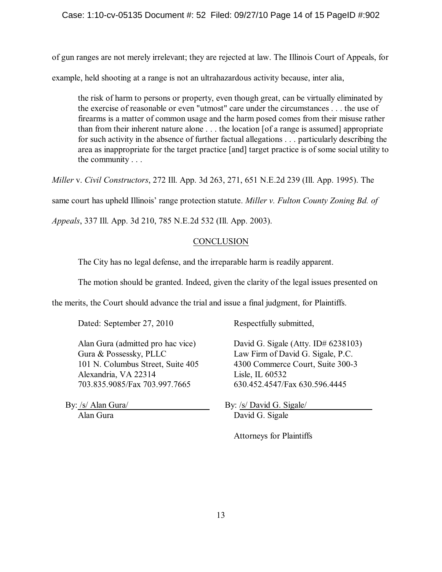## Case: 1:10-cv-05135 Document #: 52 Filed: 09/27/10 Page 14 of 15 PageID #:902

of gun ranges are not merely irrelevant; they are rejected at law. The Illinois Court of Appeals, for

example, held shooting at a range is not an ultrahazardous activity because, inter alia,

the risk of harm to persons or property, even though great, can be virtually eliminated by the exercise of reasonable or even "utmost" care under the circumstances . . . the use of firearms is a matter of common usage and the harm posed comes from their misuse rather than from their inherent nature alone . . . the location [of a range is assumed] appropriate for such activity in the absence of further factual allegations . . . particularly describing the area as inappropriate for the target practice [and] target practice is of some social utility to the community . . .

*Miller* v. *Civil Constructors*, 272 Ill. App. 3d 263, 271, 651 N.E.2d 239 (Ill. App. 1995). The

same court has upheld Illinois' range protection statute. *Miller v. Fulton County Zoning Bd. of*

*Appeals*, 337 Ill. App. 3d 210, 785 N.E.2d 532 (Ill. App. 2003).

## **CONCLUSION**

The City has no legal defense, and the irreparable harm is readily apparent.

The motion should be granted. Indeed, given the clarity of the legal issues presented on

the merits, the Court should advance the trial and issue a final judgment, for Plaintiffs.

Dated: September 27, 2010 Respectfully submitted,

Gura & Possessky, PLLC Law Firm of David G. Sigale, P.C. Alexandria, VA 22314 Lisle, IL 60532 703.835.9085/Fax 703.997.7665 630.452.4547/Fax 630.596.4445

Alan Gura (admitted pro hac vice) David G. Sigale (Atty. ID# 6238103) 101 N. Columbus Street, Suite 405 4300 Commerce Court, Suite 300-3

By: /s/ Alan Gura/ By: /s/ David G. Sigale/ Alan Gura David G. Sigale

Attorneys for Plaintiffs